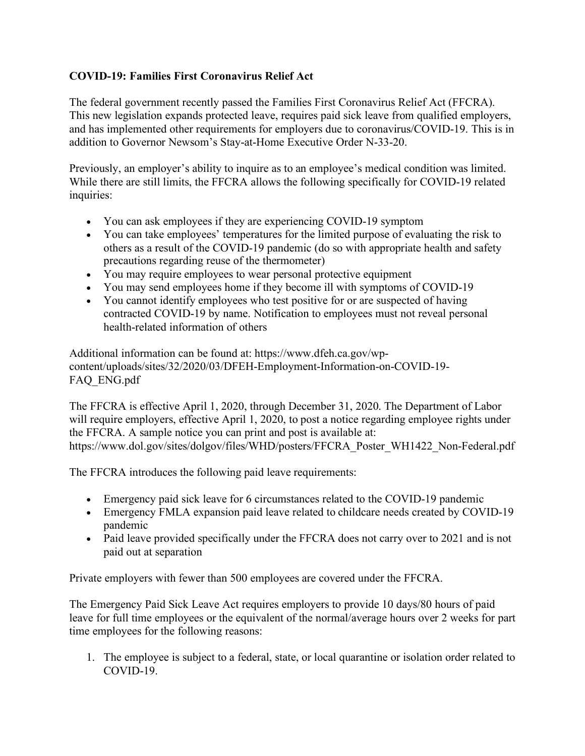## **COVID-19: Families First Coronavirus Relief Act**

The federal government recently passed the Families First Coronavirus Relief Act (FFCRA). This new legislation expands protected leave, requires paid sick leave from qualified employers, and has implemented other requirements for employers due to coronavirus/COVID-19. This is in addition to Governor Newsom's Stay-at-Home Executive Order N-33-20.

Previously, an employer's ability to inquire as to an employee's medical condition was limited. While there are still limits, the FFCRA allows the following specifically for COVID-19 related inquiries:

- You can ask employees if they are experiencing COVID-19 symptom
- You can take employees' temperatures for the limited purpose of evaluating the risk to others as a result of the COVID-19 pandemic (do so with appropriate health and safety precautions regarding reuse of the thermometer)
- You may require employees to wear personal protective equipment
- You may send employees home if they become ill with symptoms of COVID-19
- You cannot identify employees who test positive for or are suspected of having contracted COVID-19 by name. Notification to employees must not reveal personal health-related information of others

Additional information can be found at: https://www.dfeh.ca.gov/wpcontent/uploads/sites/32/2020/03/DFEH-Employment-Information-on-COVID-19- FAQ\_ENG.pdf

The FFCRA is effective April 1, 2020, through December 31, 2020. The Department of Labor will require employers, effective April 1, 2020, to post a notice regarding employee rights under the FFCRA. A sample notice you can print and post is available at: https://www.dol.gov/sites/dolgov/files/WHD/posters/FFCRA\_Poster\_WH1422\_Non-Federal.pdf

The FFCRA introduces the following paid leave requirements:

- Emergency paid sick leave for 6 circumstances related to the COVID-19 pandemic
- Emergency FMLA expansion paid leave related to childcare needs created by COVID-19 pandemic
- Paid leave provided specifically under the FFCRA does not carry over to 2021 and is not paid out at separation

Private employers with fewer than 500 employees are covered under the FFCRA.

The Emergency Paid Sick Leave Act requires employers to provide 10 days/80 hours of paid leave for full time employees or the equivalent of the normal/average hours over 2 weeks for part time employees for the following reasons:

1. The employee is subject to a federal, state, or local quarantine or isolation order related to COVID-19.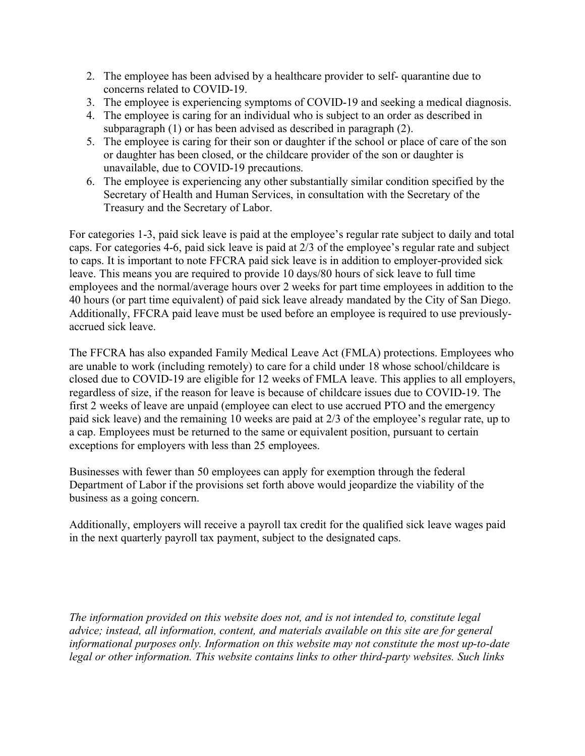- 2. The employee has been advised by a healthcare provider to self- quarantine due to concerns related to COVID-19.
- 3. The employee is experiencing symptoms of COVID-19 and seeking a medical diagnosis.
- 4. The employee is caring for an individual who is subject to an order as described in subparagraph (1) or has been advised as described in paragraph (2).
- 5. The employee is caring for their son or daughter if the school or place of care of the son or daughter has been closed, or the childcare provider of the son or daughter is unavailable, due to COVID-19 precautions.
- 6. The employee is experiencing any other substantially similar condition specified by the Secretary of Health and Human Services, in consultation with the Secretary of the Treasury and the Secretary of Labor.

For categories 1-3, paid sick leave is paid at the employee's regular rate subject to daily and total caps. For categories 4-6, paid sick leave is paid at 2/3 of the employee's regular rate and subject to caps. It is important to note FFCRA paid sick leave is in addition to employer-provided sick leave. This means you are required to provide 10 days/80 hours of sick leave to full time employees and the normal/average hours over 2 weeks for part time employees in addition to the 40 hours (or part time equivalent) of paid sick leave already mandated by the City of San Diego. Additionally, FFCRA paid leave must be used before an employee is required to use previouslyaccrued sick leave.

The FFCRA has also expanded Family Medical Leave Act (FMLA) protections. Employees who are unable to work (including remotely) to care for a child under 18 whose school/childcare is closed due to COVID-19 are eligible for 12 weeks of FMLA leave. This applies to all employers, regardless of size, if the reason for leave is because of childcare issues due to COVID-19. The first 2 weeks of leave are unpaid (employee can elect to use accrued PTO and the emergency paid sick leave) and the remaining 10 weeks are paid at 2/3 of the employee's regular rate, up to a cap. Employees must be returned to the same or equivalent position, pursuant to certain exceptions for employers with less than 25 employees.

Businesses with fewer than 50 employees can apply for exemption through the federal Department of Labor if the provisions set forth above would jeopardize the viability of the business as a going concern.

Additionally, employers will receive a payroll tax credit for the qualified sick leave wages paid in the next quarterly payroll tax payment, subject to the designated caps.

*The information provided on this website does not, and is not intended to, constitute legal advice; instead, all information, content, and materials available on this site are for general informational purposes only. Information on this website may not constitute the most up-to-date legal or other information. This website contains links to other third-party websites. Such links*